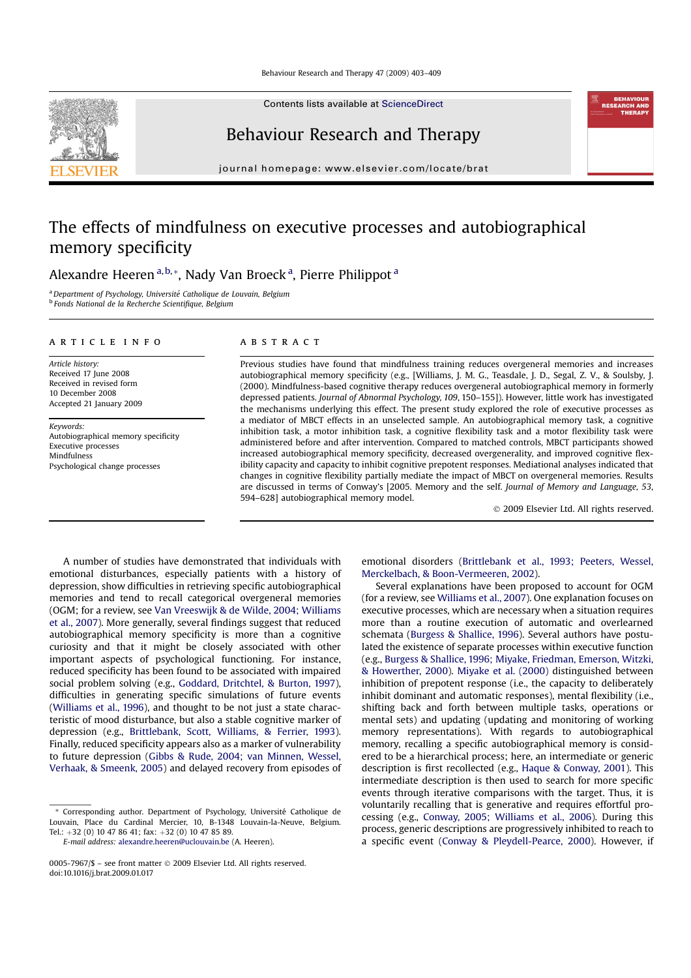Contents lists available at ScienceDirect



Behaviour Research and Therapy

journal homepage: www.elsevier.com/locate/brat

# The effects of mindfulness on executive processes and autobiographical memory specificity

Alexandre Heeren<sup>a,b,</sup>\*, Nady Van Broeck<sup>a</sup>, Pierre Philippot<sup>a</sup>

a Department of Psychology, Université Catholique de Louvain, Belgium <sup>b</sup> Fonds National de la Recherche Scientifique, Belgium

# article info

Article history: Received 17 June 2008 Received in revised form 10 December 2008 Accepted 21 January 2009

Keywords: Autobiographical memory specificity Executive processes Mindfulness Psychological change processes

# ABSTRACT

Previous studies have found that mindfulness training reduces overgeneral memories and increases autobiographical memory specificity (e.g., [Williams, J. M. G., Teasdale, J. D., Segal, Z. V., & Soulsby, J. (2000). Mindfulness-based cognitive therapy reduces overgeneral autobiographical memory in formerly depressed patients. Journal of Abnormal Psychology, 109, 150-155]). However, little work has investigated the mechanisms underlying this effect. The present study explored the role of executive processes as a mediator of MBCT effects in an unselected sample. An autobiographical memory task, a cognitive inhibition task, a motor inhibition task, a cognitive flexibility task and a motor flexibility task were administered before and after intervention. Compared to matched controls, MBCT participants showed increased autobiographical memory specificity, decreased overgenerality, and improved cognitive flexibility capacity and capacity to inhibit cognitive prepotent responses. Mediational analyses indicated that changes in cognitive flexibility partially mediate the impact of MBCT on overgeneral memories. Results are discussed in terms of Conway's [2005. Memory and the self. Journal of Memory and Language, 53, 594–628] autobiographical memory model.

 $©$  2009 Elsevier Ltd. All rights reserved.

A number of studies have demonstrated that individuals with emotional disturbances, especially patients with a history of depression, show difficulties in retrieving specific autobiographical memories and tend to recall categorical overgeneral memories (OGM; for a review, see Van Vreeswijk & de Wilde, 2004; Williams et al., 2007). More generally, several findings suggest that reduced autobiographical memory specificity is more than a cognitive curiosity and that it might be closely associated with other important aspects of psychological functioning. For instance, reduced specificity has been found to be associated with impaired social problem solving (e.g., Goddard, Dritchtel, & Burton, 1997), difficulties in generating specific simulations of future events (Williams et al., 1996), and thought to be not just a state characteristic of mood disturbance, but also a stable cognitive marker of depression (e.g., Brittlebank, Scott, Williams, & Ferrier, 1993). Finally, reduced specificity appears also as a marker of vulnerability to future depression (Gibbs & Rude, 2004; van Minnen, Wessel, Verhaak, & Smeenk, 2005) and delayed recovery from episodes of

E-mail address: alexandre.heeren@uclouvain.be (A. Heeren).

emotional disorders (Brittlebank et al., 1993; Peeters, Wessel, Merckelbach, & Boon-Vermeeren, 2002).

Several explanations have been proposed to account for OGM (for a review, see Williams et al., 2007). One explanation focuses on executive processes, which are necessary when a situation requires more than a routine execution of automatic and overlearned schemata (Burgess & Shallice, 1996). Several authors have postulated the existence of separate processes within executive function (e.g., Burgess & Shallice, 1996; Miyake, Friedman, Emerson, Witzki, & Howerther, 2000). Miyake et al. (2000) distinguished between inhibition of prepotent response (i.e., the capacity to deliberately inhibit dominant and automatic responses), mental flexibility (i.e., shifting back and forth between multiple tasks, operations or mental sets) and updating (updating and monitoring of working memory representations). With regards to autobiographical memory, recalling a specific autobiographical memory is considered to be a hierarchical process; here, an intermediate or generic description is first recollected (e.g., Haque & Conway, 2001). This intermediate description is then used to search for more specific events through iterative comparisons with the target. Thus, it is voluntarily recalling that is generative and requires effortful processing (e.g., Conway, 2005; Williams et al., 2006). During this process, generic descriptions are progressively inhibited to reach to a specific event (Conway & Pleydell-Pearce, 2000). However, if

<sup>\*</sup> Corresponding author. Department of Psychology, Universite´ Catholique de Louvain, Place du Cardinal Mercier, 10, B-1348 Louvain-la-Neuve, Belgium. Tel.:  $+32$  (0) 10 47 86 41; fax:  $+32$  (0) 10 47 85 89.

<sup>0005-7967/\$ -</sup> see front matter @ 2009 Elsevier Ltd. All rights reserved. doi:10.1016/j.brat.2009.01.017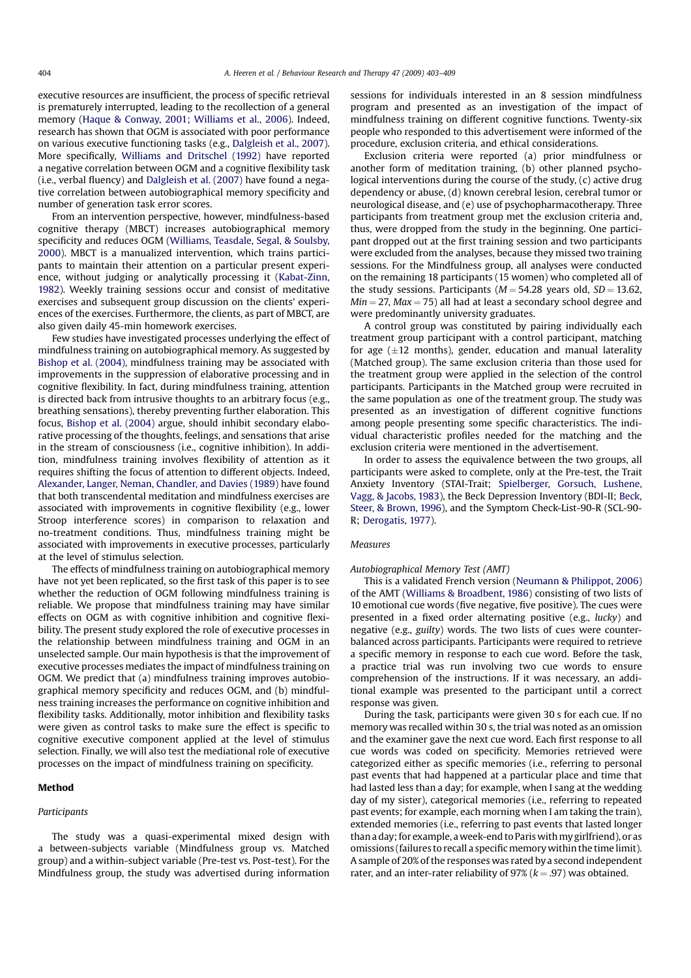executive resources are insufficient, the process of specific retrieval is prematurely interrupted, leading to the recollection of a general memory (Haque & Conway, 2001; Williams et al., 2006). Indeed, research has shown that OGM is associated with poor performance on various executive functioning tasks (e.g., Dalgleish et al., 2007). More specifically, Williams and Dritschel (1992) have reported a negative correlation between OGM and a cognitive flexibility task (i.e., verbal fluency) and Dalgleish et al. (2007) have found a negative correlation between autobiographical memory specificity and number of generation task error scores.

From an intervention perspective, however, mindfulness-based cognitive therapy (MBCT) increases autobiographical memory specificity and reduces OGM (Williams, Teasdale, Segal, & Soulsby, 2000). MBCT is a manualized intervention, which trains participants to maintain their attention on a particular present experience, without judging or analytically processing it (Kabat-Zinn, 1982). Weekly training sessions occur and consist of meditative exercises and subsequent group discussion on the clients' experiences of the exercises. Furthermore, the clients, as part of MBCT, are also given daily 45-min homework exercises.

Few studies have investigated processes underlying the effect of mindfulness training on autobiographical memory. As suggested by Bishop et al. (2004), mindfulness training may be associated with improvements in the suppression of elaborative processing and in cognitive flexibility. In fact, during mindfulness training, attention is directed back from intrusive thoughts to an arbitrary focus (e.g., breathing sensations), thereby preventing further elaboration. This focus, Bishop et al. (2004) argue, should inhibit secondary elaborative processing of the thoughts, feelings, and sensations that arise in the stream of consciousness (i.e., cognitive inhibition). In addition, mindfulness training involves flexibility of attention as it requires shifting the focus of attention to different objects. Indeed, Alexander, Langer, Neman, Chandler, and Davies (1989) have found that both transcendental meditation and mindfulness exercises are associated with improvements in cognitive flexibility (e.g., lower Stroop interference scores) in comparison to relaxation and no-treatment conditions. Thus, mindfulness training might be associated with improvements in executive processes, particularly at the level of stimulus selection.

The effects of mindfulness training on autobiographical memory have not yet been replicated, so the first task of this paper is to see whether the reduction of OGM following mindfulness training is reliable. We propose that mindfulness training may have similar effects on OGM as with cognitive inhibition and cognitive flexibility. The present study explored the role of executive processes in the relationship between mindfulness training and OGM in an unselected sample. Our main hypothesis is that the improvement of executive processes mediates the impact of mindfulness training on OGM. We predict that (a) mindfulness training improves autobiographical memory specificity and reduces OGM, and (b) mindfulness training increases the performance on cognitive inhibition and flexibility tasks. Additionally, motor inhibition and flexibility tasks were given as control tasks to make sure the effect is specific to cognitive executive component applied at the level of stimulus selection. Finally, we will also test the mediational role of executive processes on the impact of mindfulness training on specificity.

## Method

# Participants

The study was a quasi-experimental mixed design with a between-subjects variable (Mindfulness group vs. Matched group) and a within-subject variable (Pre-test vs. Post-test). For the Mindfulness group, the study was advertised during information sessions for individuals interested in an 8 session mindfulness program and presented as an investigation of the impact of mindfulness training on different cognitive functions. Twenty-six people who responded to this advertisement were informed of the procedure, exclusion criteria, and ethical considerations.

Exclusion criteria were reported (a) prior mindfulness or another form of meditation training, (b) other planned psychological interventions during the course of the study, (c) active drug dependency or abuse, (d) known cerebral lesion, cerebral tumor or neurological disease, and (e) use of psychopharmacotherapy. Three participants from treatment group met the exclusion criteria and, thus, were dropped from the study in the beginning. One participant dropped out at the first training session and two participants were excluded from the analyses, because they missed two training sessions. For the Mindfulness group, all analyses were conducted on the remaining 18 participants (15 women) who completed all of the study sessions. Participants ( $M = 54.28$  years old,  $SD = 13.62$ ,  $Min = 27$ ,  $Max = 75$ ) all had at least a secondary school degree and were predominantly university graduates.

A control group was constituted by pairing individually each treatment group participant with a control participant, matching for age  $(\pm 12 \text{ months})$ , gender, education and manual laterality (Matched group). The same exclusion criteria than those used for the treatment group were applied in the selection of the control participants. Participants in the Matched group were recruited in the same population as one of the treatment group. The study was presented as an investigation of different cognitive functions among people presenting some specific characteristics. The individual characteristic profiles needed for the matching and the exclusion criteria were mentioned in the advertisement.

In order to assess the equivalence between the two groups, all participants were asked to complete, only at the Pre-test, the Trait Anxiety Inventory (STAI-Trait; Spielberger, Gorsuch, Lushene, Vagg, & Jacobs, 1983), the Beck Depression Inventory (BDI-II; Beck, Steer, & Brown, 1996), and the Symptom Check-List-90-R (SCL-90- R; Derogatis, 1977).

# **Measures**

## Autobiographical Memory Test (AMT)

This is a validated French version (Neumann & Philippot, 2006) of the AMT (Williams & Broadbent, 1986) consisting of two lists of 10 emotional cue words (five negative, five positive). The cues were presented in a fixed order alternating positive (e.g., lucky) and negative (e.g., guilty) words. The two lists of cues were counterbalanced across participants. Participants were required to retrieve a specific memory in response to each cue word. Before the task, a practice trial was run involving two cue words to ensure comprehension of the instructions. If it was necessary, an additional example was presented to the participant until a correct response was given.

During the task, participants were given 30 s for each cue. If no memory was recalled within 30 s, the trial was noted as an omission and the examiner gave the next cue word. Each first response to all cue words was coded on specificity. Memories retrieved were categorized either as specific memories (i.e., referring to personal past events that had happened at a particular place and time that had lasted less than a day; for example, when I sang at the wedding day of my sister), categorical memories (i.e., referring to repeated past events; for example, each morning when I am taking the train), extended memories (i.e., referring to past events that lasted longer than a day; for example, aweek-end to Paris withmy girlfriend), or as omissions (failures to recall a specific memory within the time limit). A sample of 20% of the responses was rated by a second independent rater, and an inter-rater reliability of 97% ( $k = .97$ ) was obtained.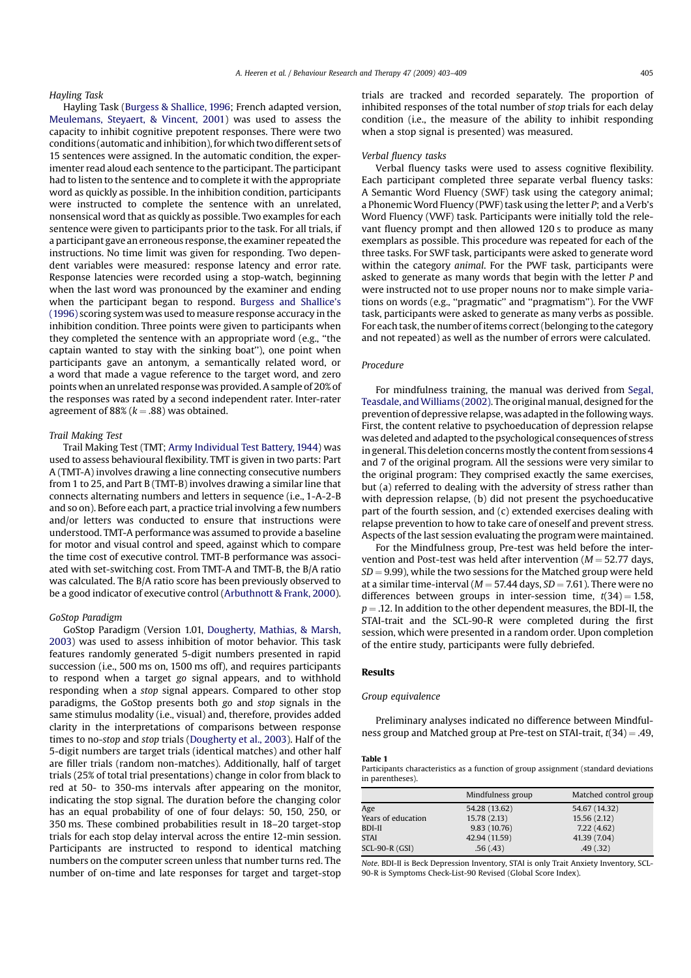# Hayling Task

Hayling Task (Burgess & Shallice, 1996; French adapted version, Meulemans, Steyaert, & Vincent, 2001) was used to assess the capacity to inhibit cognitive prepotent responses. There were two conditions (automatic and inhibition), for which two different sets of 15 sentences were assigned. In the automatic condition, the experimenter read aloud each sentence to the participant. The participant had to listen to the sentence and to complete it with the appropriate word as quickly as possible. In the inhibition condition, participants were instructed to complete the sentence with an unrelated, nonsensical word that as quickly as possible. Two examples for each sentence were given to participants prior to the task. For all trials, if a participant gave an erroneous response, the examiner repeated the instructions. No time limit was given for responding. Two dependent variables were measured: response latency and error rate. Response latencies were recorded using a stop-watch, beginning when the last word was pronounced by the examiner and ending when the participant began to respond. Burgess and Shallice's (1996) scoring system was used to measure response accuracy in the inhibition condition. Three points were given to participants when they completed the sentence with an appropriate word (e.g., ''the captain wanted to stay with the sinking boat''), one point when participants gave an antonym, a semantically related word, or a word that made a vague reference to the target word, and zero points when an unrelated responsewas provided. A sample of 20% of the responses was rated by a second independent rater. Inter-rater agreement of 88% ( $k = .88$ ) was obtained.

# Trail Making Test

Trail Making Test (TMT; Army Individual Test Battery, 1944) was used to assess behavioural flexibility. TMT is given in two parts: Part A (TMT-A) involves drawing a line connecting consecutive numbers from 1 to 25, and Part B (TMT-B) involves drawing a similar line that connects alternating numbers and letters in sequence (i.e., 1-A-2-B and so on). Before each part, a practice trial involving a few numbers and/or letters was conducted to ensure that instructions were understood. TMT-A performance was assumed to provide a baseline for motor and visual control and speed, against which to compare the time cost of executive control. TMT-B performance was associated with set-switching cost. From TMT-A and TMT-B, the B/A ratio was calculated. The B/A ratio score has been previously observed to be a good indicator of executive control (Arbuthnott & Frank, 2000).

## GoStop Paradigm

GoStop Paradigm (Version 1.01, Dougherty, Mathias, & Marsh, 2003) was used to assess inhibition of motor behavior. This task features randomly generated 5-digit numbers presented in rapid succession (i.e., 500 ms on, 1500 ms off), and requires participants to respond when a target go signal appears, and to withhold responding when a stop signal appears. Compared to other stop paradigms, the GoStop presents both go and stop signals in the same stimulus modality (i.e., visual) and, therefore, provides added clarity in the interpretations of comparisons between response times to no-stop and stop trials (Dougherty et al., 2003). Half of the 5-digit numbers are target trials (identical matches) and other half are filler trials (random non-matches). Additionally, half of target trials (25% of total trial presentations) change in color from black to red at 50- to 350-ms intervals after appearing on the monitor, indicating the stop signal. The duration before the changing color has an equal probability of one of four delays: 50, 150, 250, or 350 ms. These combined probabilities result in 18–20 target-stop trials for each stop delay interval across the entire 12-min session. Participants are instructed to respond to identical matching numbers on the computer screen unless that number turns red. The number of on-time and late responses for target and target-stop

trials are tracked and recorded separately. The proportion of inhibited responses of the total number of stop trials for each delay condition (i.e., the measure of the ability to inhibit responding when a stop signal is presented) was measured.

#### Verbal fluency tasks

Verbal fluency tasks were used to assess cognitive flexibility. Each participant completed three separate verbal fluency tasks: A Semantic Word Fluency (SWF) task using the category animal; a Phonemic Word Fluency (PWF) task using the letter P; and a Verb's Word Fluency (VWF) task. Participants were initially told the relevant fluency prompt and then allowed 120 s to produce as many exemplars as possible. This procedure was repeated for each of the three tasks. For SWF task, participants were asked to generate word within the category animal. For the PWF task, participants were asked to generate as many words that begin with the letter P and were instructed not to use proper nouns nor to make simple variations on words (e.g., ''pragmatic'' and ''pragmatism''). For the VWF task, participants were asked to generate as many verbs as possible. For each task, the number of items correct (belonging to the category and not repeated) as well as the number of errors were calculated.

# Procedure

For mindfulness training, the manual was derived from Segal, Teasdale, andWilliams (2002). The original manual, designed for the prevention of depressive relapse, was adapted in the following ways. First, the content relative to psychoeducation of depression relapse was deleted and adapted to the psychological consequences of stress in general. This deletion concerns mostly the content from sessions 4 and 7 of the original program. All the sessions were very similar to the original program: They comprised exactly the same exercises, but (a) referred to dealing with the adversity of stress rather than with depression relapse, (b) did not present the psychoeducative part of the fourth session, and (c) extended exercises dealing with relapse prevention to how to take care of oneself and prevent stress. Aspects of the last session evaluating the program were maintained.

For the Mindfulness group, Pre-test was held before the intervention and Post-test was held after intervention ( $M = 52.77$  days,  $SD = 9.99$ ), while the two sessions for the Matched group were held at a similar time-interval ( $M = 57.44$  days,  $SD = 7.61$ ). There were no differences between groups in inter-session time,  $t(34) = 1.58$ ,  $p = .12$ . In addition to the other dependent measures, the BDI-II, the STAI-trait and the SCL-90-R were completed during the first session, which were presented in a random order. Upon completion of the entire study, participants were fully debriefed.

# Results

# Group equivalence

Preliminary analyses indicated no difference between Mindfulness group and Matched group at Pre-test on STAI-trait,  $t(34) = .49$ ,

#### Table 1

Participants characteristics as a function of group assignment (standard deviations in parentheses).

|                    | Mindfulness group | Matched control group |  |
|--------------------|-------------------|-----------------------|--|
| Age                | 54.28 (13.62)     | 54.67 (14.32)         |  |
| Years of education | 15.78 (2.13)      | 15.56(2.12)           |  |
| BDI-II             | 9.83(10.76)       | 7.22(4.62)            |  |
| STAI               | 42.94 (11.59)     | 41.39 (7.04)          |  |
| $SCL-90-R(GSI)$    | .56(.43)          | .49(0.32)             |  |

Note. BDI-II is Beck Depression Inventory, STAI is only Trait Anxiety Inventory, SCL-90-R is Symptoms Check-List-90 Revised (Global Score Index).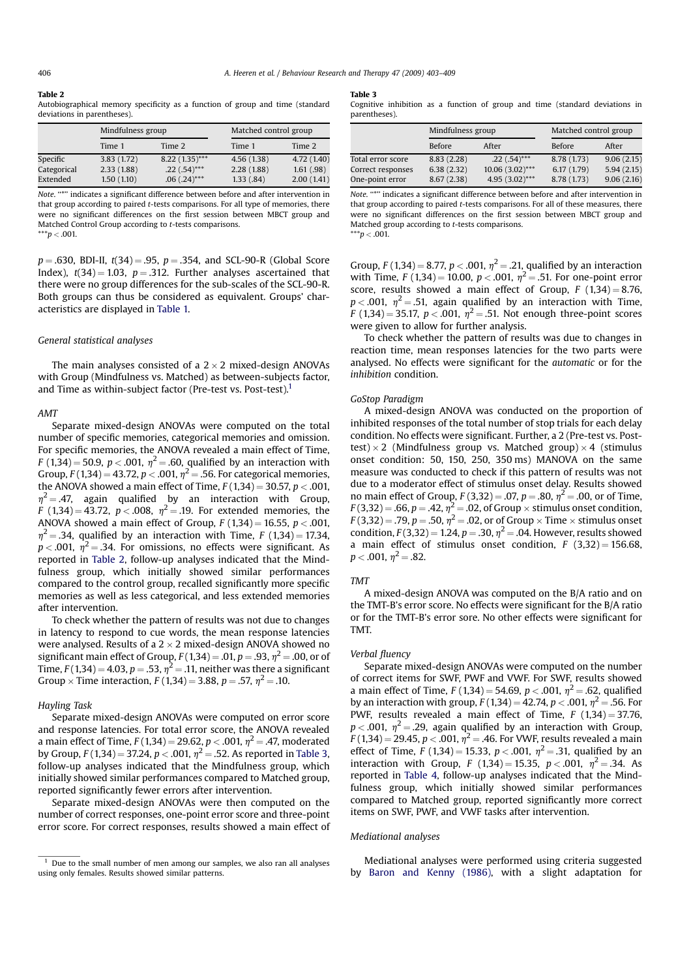## Table 2

Autobiographical memory specificity as a function of group and time (standard deviations in parentheses).

|                                     | Mindfulness group                      |                                                      | Matched control group                 |                                       |
|-------------------------------------|----------------------------------------|------------------------------------------------------|---------------------------------------|---------------------------------------|
|                                     | Time 1                                 | Time 2                                               | Time 1                                | Time 2                                |
| Specific<br>Categorical<br>Extended | 3.83(1.72)<br>2.33(1.88)<br>1.50(1.10) | $8.22(1.35)$ ***<br>$.22(.54)$ ***<br>$.06(.24)$ *** | 4.56(1.38)<br>2.28(1.88)<br>1.33(.84) | 4.72(1.40)<br>1.61(.98)<br>2.00(1.41) |

Note. ''\*'' indicates a significant difference between before and after intervention in that group according to paired t-tests comparisons. For all type of memories, there were no significant differences on the first session between MBCT group and Matched Control Group according to t-tests comparisons.  $***p < .001$ .

 $p = .630$ , BDI-II,  $t(34) = .95$ ,  $p = .354$ , and SCL-90-R (Global Score Index),  $t(34) = 1.03$ ,  $p = .312$ . Further analyses ascertained that there were no group differences for the sub-scales of the SCL-90-R. Both groups can thus be considered as equivalent. Groups' characteristics are displayed in Table 1.

#### General statistical analyses

The main analyses consisted of a  $2 \times 2$  mixed-design ANOVAs with Group (Mindfulness vs. Matched) as between-subjects factor, and Time as within-subject factor (Pre-test vs. Post-test).<sup>1</sup>

#### AMT

Separate mixed-design ANOVAs were computed on the total number of specific memories, categorical memories and omission. For specific memories, the ANOVA revealed a main effect of Time,  $F(1,34) = 50.9$ ,  $p < .001$ ,  $\eta^2 = .60$ , qualified by an interaction with Group,  $F(1,34) = 43.72$ ,  $p < .001$ ,  $\eta^2 = .56$ . For categorical memories, the ANOVA showed a main effect of Time,  $F(1,34) = 30.57$ ,  $p < .001$ ,  $\eta^2$  = .47, again qualified by an interaction with Group, F (1,34) = 43.72,  $p < .008$ ,  $\eta^2 = .19$ . For extended memories, the ANOVA showed a main effect of Group,  $F(1,34) = 16.55$ ,  $p < .001$ ,  $\eta^2$  = .34, qualified by an interaction with Time, F (1,34) = 17.34,  $p < .001$ ,  $\eta^2 = .34$ . For omissions, no effects were significant. As reported in Table 2, follow-up analyses indicated that the Mindfulness group, which initially showed similar performances compared to the control group, recalled significantly more specific memories as well as less categorical, and less extended memories after intervention.

To check whether the pattern of results was not due to changes in latency to respond to cue words, the mean response latencies were analysed. Results of a  $2 \times 2$  mixed-design ANOVA showed no significant main effect of Group,  $F(1,34) = .01$ ,  $p = .93$ ,  $\eta^2 = .00$ , or of Time,  $F(1,34) = 4.03$ ,  $p = .53$ ,  $\eta^2 = .11$ , neither was there a significant Group  $\times$  Time interaction, F (1,34) = 3.88, p = .57,  $\eta^2$  = .10.

# Hayling Task

Separate mixed-design ANOVAs were computed on error score and response latencies. For total error score, the ANOVA revealed a main effect of Time,  $F(1,34) = 29.62$ ,  $p < .001$ ,  $\eta^2 = .47$ , moderated by Group,  $F(1,34) = 37.24$ ,  $p < .001$ ,  $\eta^2 = .52$ . As reported in Table 3, follow-up analyses indicated that the Mindfulness group, which initially showed similar performances compared to Matched group, reported significantly fewer errors after intervention.

Separate mixed-design ANOVAs were then computed on the number of correct responses, one-point error score and three-point error score. For correct responses, results showed a main effect of

# Table 3

Cognitive inhibition as a function of group and time (standard deviations in parentheses).

|                   | Mindfulness group |                   | Matched control group |            |
|-------------------|-------------------|-------------------|-----------------------|------------|
|                   | Before            | After             | Before                | After      |
| Total error score | 8.83 (2.28)       | $.22(.54)$ ***    | 8.78 (1.73)           | 9.06(2.15) |
| Correct responses | 6.38(2.32)        | $10.06(3.02)$ *** | 6.17(1.79)            | 5.94(2.15) |
| One-point error   | 8.67(2.38)        | $4.95(3.02)$ ***  | 8.78 (1.73)           | 9.06(2.16) |
|                   |                   |                   |                       |            |

Note. ''\*'' indicates a significant difference between before and after intervention in that group according to paired t-tests comparisons. For all of these measures, there were no significant differences on the first session between MBCT group and Matched group according to t-tests comparisons.  $***p < .001$ .

Group,  $F(1,34) = 8.77$ ,  $p < .001$ ,  $\eta^2 = .21$ , qualified by an interaction with Time,  $F(1,34) = 10.00$ ,  $p < .001$ ,  $\eta^2 = .51$ . For one-point error score, results showed a main effect of Group,  $F(1,34) = 8.76$ ,  $p < .001$ ,  $\eta^2 = .51$ , again qualified by an interaction with Time,  $F(1,34) = 35.17$ ,  $p < .001$ ,  $\eta^2 = .51$ . Not enough three-point scores were given to allow for further analysis.

To check whether the pattern of results was due to changes in reaction time, mean responses latencies for the two parts were analysed. No effects were significant for the automatic or for the inhibition condition.

# GoStop Paradigm

A mixed-design ANOVA was conducted on the proportion of inhibited responses of the total number of stop trials for each delay condition. No effects were significant. Further, a 2 (Pre-test vs. Posttest)  $\times$  2 (Mindfulness group vs. Matched group)  $\times$  4 (stimulus onset condition: 50, 150, 250, 350 ms) MANOVA on the same measure was conducted to check if this pattern of results was not due to a moderator effect of stimulus onset delay. Results showed no main effect of Group,  $F(3,32) = .07$ ,  $p = .80$ ,  $\eta^2 = .00$ , or of Time,  $F(3,32) = .66$ ,  $p = .42$ ,  $\eta^2 = .02$ , of Group  $\times$  stimulus onset condition,  $F(3,32) = .79$ ,  $p = .50$ ,  $\eta^2 = .02$ , or of Group  $\times$  Time  $\times$  stimulus onset condition,  $F(3,32) = 1.24$ ,  $p = .30$ ,  $\eta^2 = .04$ . However, results showed a main effect of stimulus onset condition,  $F(3.32) = 156.68$ .  $p < .001$ ,  $n^2 = .82$ .

#### TMT

A mixed-design ANOVA was computed on the B/A ratio and on the TMT-B's error score. No effects were significant for the B/A ratio or for the TMT-B's error sore. No other effects were significant for TMT.

# Verbal fluency

Separate mixed-design ANOVAs were computed on the number of correct items for SWF, PWF and VWF. For SWF, results showed a main effect of Time,  $F(1,34) = 54.69$ ,  $p < .001$ ,  $\eta^2 = .62$ , qualified by an interaction with group,  $F(1,34) = 42.74$ ,  $p < .001$ ,  $\eta^2 = .56$ . For PWF, results revealed a main effect of Time,  $F(1,34) = 37.76$ ,  $p < .001$ ,  $\eta^2 = .29$ , again qualified by an interaction with Group,  $F(1,34) = 29.45, p < .001, \eta^2 = .46$ . For VWF, results revealed a main effect of Time, F (1,34) = 15.33,  $p < .001$ ,  $\eta^2 = .31$ , qualified by an interaction with Group, F (1,34) = 15.35,  $p < .001$ ,  $\eta^2 = .34$ . As reported in Table 4, follow-up analyses indicated that the Mindfulness group, which initially showed similar performances compared to Matched group, reported significantly more correct items on SWF, PWF, and VWF tasks after intervention.

#### Mediational analyses

Mediational analyses were performed using criteria suggested by Baron and Kenny (1986), with a slight adaptation for

 $1$  Due to the small number of men among our samples, we also ran all analyses using only females. Results showed similar patterns.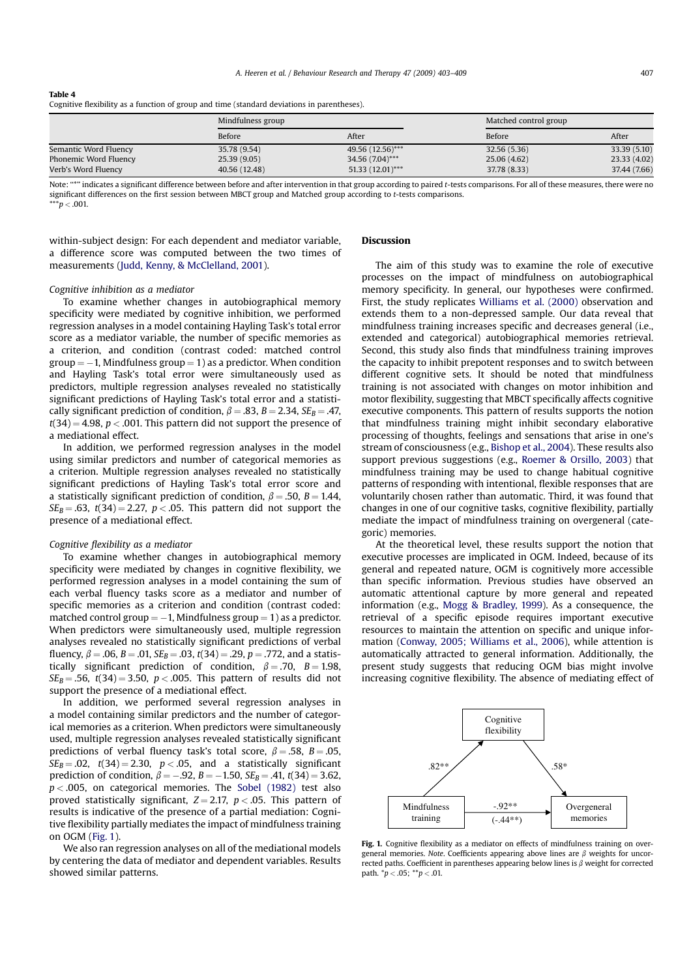# Table 4

Cognitive flexibility as a function of group and time (standard deviations in parentheses).

|                       | Mindfulness group |                    | Matched control group |              |
|-----------------------|-------------------|--------------------|-----------------------|--------------|
|                       | Before            | After              | Before                | After        |
| Semantic Word Fluency | 35.78 (9.54)      | 49.56 (12.56)***   | 32.56 (5.36)          | 33.39 (5.10) |
| Phonemic Word Fluency | 25.39(9.05)       | 34.56 (7.04)***    | 25.06 (4.62)          | 23.33 (4.02) |
| Verb's Word Fluency   | 40.56 (12.48)     | $51.33(12.01)$ *** | 37.78 (8.33)          | 37.44 (7.66) |

Note: "\*" indicates a significant difference between before and after intervention in that group according to paired t-tests comparisons. For all of these measures, there were no significant differences on the first session between MBCT group and Matched group according to t-tests comparisons.  $***p < .001$ .

within-subject design: For each dependent and mediator variable, a difference score was computed between the two times of measurements (Judd, Kenny, & McClelland, 2001).

# Cognitive inhibition as a mediator

To examine whether changes in autobiographical memory specificity were mediated by cognitive inhibition, we performed regression analyses in a model containing Hayling Task's total error score as a mediator variable, the number of specific memories as a criterion, and condition (contrast coded: matched control  $group = -1$ , Mindfulness group = 1) as a predictor. When condition and Hayling Task's total error were simultaneously used as predictors, multiple regression analyses revealed no statistically significant predictions of Hayling Task's total error and a statistically significant prediction of condition,  $\beta = .83$ ,  $B = 2.34$ ,  $SE_B = .47$ ,  $t(34) = 4.98$ ,  $p < .001$ . This pattern did not support the presence of a mediational effect.

In addition, we performed regression analyses in the model using similar predictors and number of categorical memories as a criterion. Multiple regression analyses revealed no statistically significant predictions of Hayling Task's total error score and a statistically significant prediction of condition,  $\beta = .50$ ,  $B = 1.44$ ,  $SE_B = .63$ ,  $t(34) = 2.27$ ,  $p < .05$ . This pattern did not support the presence of a mediational effect.

## Cognitive flexibility as a mediator

To examine whether changes in autobiographical memory specificity were mediated by changes in cognitive flexibility, we performed regression analyses in a model containing the sum of each verbal fluency tasks score as a mediator and number of specific memories as a criterion and condition (contrast coded: matched control group  $= -1$ , Mindfulness group  $= 1$ ) as a predictor. When predictors were simultaneously used, multiple regression analyses revealed no statistically significant predictions of verbal fluency,  $\beta = .06$ ,  $B = .01$ ,  $SE_B = .03$ ,  $t(34) = .29$ ,  $p = .772$ , and a statistically significant prediction of condition,  $\beta = .70$ ,  $B = 1.98$ ,  $SE_B = .56$ ,  $t(34) = 3.50$ ,  $p < .005$ . This pattern of results did not support the presence of a mediational effect.

In addition, we performed several regression analyses in a model containing similar predictors and the number of categorical memories as a criterion. When predictors were simultaneously used, multiple regression analyses revealed statistically significant predictions of verbal fluency task's total score,  $\beta = .58$ ,  $B = .05$ ,  $SE_B = .02$ ,  $t(34) = 2.30$ ,  $p < .05$ , and a statistically significant prediction of condition,  $\beta = -.92$ ,  $B = -1.50$ ,  $SE_B = .41$ ,  $t(34) = 3.62$ ,  $p < .005$ , on categorical memories. The Sobel (1982) test also proved statistically significant,  $Z = 2.17$ ,  $p < .05$ . This pattern of results is indicative of the presence of a partial mediation: Cognitive flexibility partially mediates the impact of mindfulness training on OGM (Fig. 1).

We also ran regression analyses on all of the mediational models by centering the data of mediator and dependent variables. Results showed similar patterns.

# Discussion

The aim of this study was to examine the role of executive processes on the impact of mindfulness on autobiographical memory specificity. In general, our hypotheses were confirmed. First, the study replicates Williams et al. (2000) observation and extends them to a non-depressed sample. Our data reveal that mindfulness training increases specific and decreases general (i.e., extended and categorical) autobiographical memories retrieval. Second, this study also finds that mindfulness training improves the capacity to inhibit prepotent responses and to switch between different cognitive sets. It should be noted that mindfulness training is not associated with changes on motor inhibition and motor flexibility, suggesting that MBCT specifically affects cognitive executive components. This pattern of results supports the notion that mindfulness training might inhibit secondary elaborative processing of thoughts, feelings and sensations that arise in one's stream of consciousness (e.g., Bishop et al., 2004). These results also support previous suggestions (e.g., Roemer & Orsillo, 2003) that mindfulness training may be used to change habitual cognitive patterns of responding with intentional, flexible responses that are voluntarily chosen rather than automatic. Third, it was found that changes in one of our cognitive tasks, cognitive flexibility, partially mediate the impact of mindfulness training on overgeneral (categoric) memories.

At the theoretical level, these results support the notion that executive processes are implicated in OGM. Indeed, because of its general and repeated nature, OGM is cognitively more accessible than specific information. Previous studies have observed an automatic attentional capture by more general and repeated information (e.g., Mogg & Bradley, 1999). As a consequence, the retrieval of a specific episode requires important executive resources to maintain the attention on specific and unique information (Conway, 2005; Williams et al., 2006), while attention is automatically attracted to general information. Additionally, the present study suggests that reducing OGM bias might involve increasing cognitive flexibility. The absence of mediating effect of



Fig. 1. Cognitive flexibility as a mediator on effects of mindfulness training on overgeneral memories. Note. Coefficients appearing above lines are  $\beta$  weights for uncorrected paths. Coefficient in parentheses appearing below lines is  $\beta$  weight for corrected path.  $*p < .05$ ;  $**p < .01$ .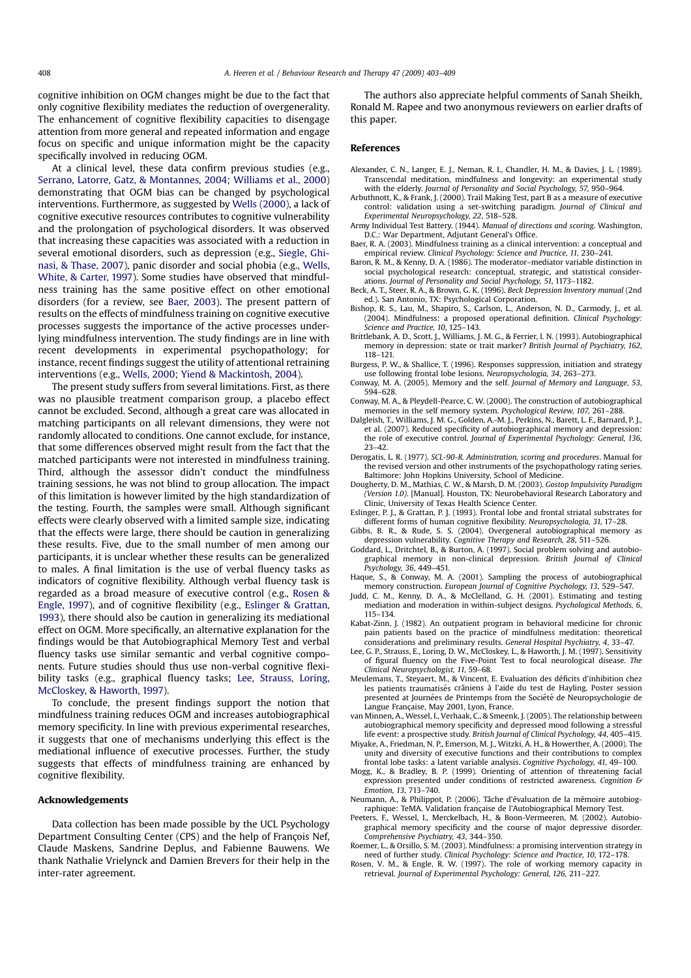cognitive inhibition on OGM changes might be due to the fact that only cognitive flexibility mediates the reduction of overgenerality. The enhancement of cognitive flexibility capacities to disengage attention from more general and repeated information and engage focus on specific and unique information might be the capacity specifically involved in reducing OGM.

At a clinical level, these data confirm previous studies (e.g., Serrano, Latorre, Gatz, & Montannes, 2004; Williams et al., 2000) demonstrating that OGM bias can be changed by psychological interventions. Furthermore, as suggested by Wells (2000), a lack of cognitive executive resources contributes to cognitive vulnerability and the prolongation of psychological disorders. It was observed that increasing these capacities was associated with a reduction in several emotional disorders, such as depression (e.g., Siegle, Ghinasi, & Thase, 2007), panic disorder and social phobia (e.g., Wells, White, & Carter, 1997). Some studies have observed that mindfulness training has the same positive effect on other emotional disorders (for a review, see Baer, 2003). The present pattern of results on the effects of mindfulness training on cognitive executive processes suggests the importance of the active processes underlying mindfulness intervention. The study findings are in line with recent developments in experimental psychopathology; for instance, recent findings suggest the utility of attentional retraining interventions (e.g., Wells, 2000; Yiend & Mackintosh, 2004).

The present study suffers from several limitations. First, as there was no plausible treatment comparison group, a placebo effect cannot be excluded. Second, although a great care was allocated in matching participants on all relevant dimensions, they were not randomly allocated to conditions. One cannot exclude, for instance, that some differences observed might result from the fact that the matched participants were not interested in mindfulness training. Third, although the assessor didn't conduct the mindfulness training sessions, he was not blind to group allocation. The impact of this limitation is however limited by the high standardization of the testing. Fourth, the samples were small. Although significant effects were clearly observed with a limited sample size, indicating that the effects were large, there should be caution in generalizing these results. Five, due to the small number of men among our participants, it is unclear whether these results can be generalized to males. A final limitation is the use of verbal fluency tasks as indicators of cognitive flexibility. Although verbal fluency task is regarded as a broad measure of executive control (e.g., Rosen & Engle, 1997), and of cognitive flexibility (e.g., Eslinger & Grattan, 1993), there should also be caution in generalizing its mediational effect on OGM. More specifically, an alternative explanation for the findings would be that Autobiographical Memory Test and verbal fluency tasks use similar semantic and verbal cognitive components. Future studies should thus use non-verbal cognitive flexibility tasks (e.g., graphical fluency tasks; Lee, Strauss, Loring, McCloskey, & Haworth, 1997).

To conclude, the present findings support the notion that mindfulness training reduces OGM and increases autobiographical memory specificity. In line with previous experimental researches, it suggests that one of mechanisms underlying this effect is the mediational influence of executive processes. Further, the study suggests that effects of mindfulness training are enhanced by cognitive flexibility.

# Acknowledgements

Data collection has been made possible by the UCL Psychology Department Consulting Center (CPS) and the help of François Nef, Claude Maskens, Sandrine Deplus, and Fabienne Bauwens. We thank Nathalie Vrielynck and Damien Brevers for their help in the inter-rater agreement.

The authors also appreciate helpful comments of Sanah Sheikh, Ronald M. Rapee and two anonymous reviewers on earlier drafts of this paper.

## References

- Alexander, C. N., Langer, E. J., Neman, R. I., Chandler, H. M., & Davies, J. L. (1989). Transcendal meditation, mindfulness and longevity: an experimental study with the elderly. Journal of Personality and Social Psychology, 57, 950–964.
- Arbuthnott, K., & Frank, J. (2000). Trail Making Test, part B as a measure of executive control: validation using a set-switching paradigm. Journal of Clinical and Experimental Neuropsychology, 22, 518–528.
- Army Individual Test Battery. (1944). Manual of directions and scoring. Washington, D.C.: War Department, Adjutant General's Office.
- Baer, R. A. (2003). Mindfulness training as a clinical intervention: a conceptual and empirical review. Clinical Psychology: Science and Practice, 11, 230–241.
- Baron, R. M., & Kenny, D. A. (1986). The moderator–mediator variable distinction in social psychological research: conceptual, strategic, and statistical considerations. Journal of Personality and Social Psychology, 51, 1173–1182.
- Beck, A. T., Steer, R. A., & Brown, G. K. (1996). Beck Depression Inventory manual (2nd ed.). San Antonio, TX: Psychological Corporation.
- Bishop, R. S., Lau, M., Shapiro, S., Carlson, L., Anderson, N. D., Carmody, J., et al. (2004). Mindfulness: a proposed operational definition. Clinical Psychology: Science and Practice, 10, 125-143.
- Brittlebank, A. D., Scott, J., Williams, J. M. G., & Ferrier, I. N. (1993). Autobiographical memory in depression: state or trait marker? British Journal of Psychiatry, 162, 118–121.
- Burgess, P. W., & Shallice, T. (1996). Responses suppression, initiation and strategy use following frontal lobe lesions. Neuropsychologia, 34, 263–273.
- Conway, M. A. (2005). Memory and the self. Journal of Memory and Language, 53, 594–628.
- Conway, M. A., & Pleydell-Pearce, C. W. (2000). The construction of autobiographical memories in the self memory system. Psychological Review, 107, 261–288.
- Dalgleish, T., Williams, J. M. G., Golden, A.-M. J., Perkins, N., Barett, L. F., Barnard, P. J., et al. (2007). Reduced specificity of autobiographical memory and depression: the role of executive control. Journal of Experimental Psychology: General, 136, 23–42.
- Derogatis, L. R. (1977). SCL-90-R. Administration, scoring and procedures. Manual for the revised version and other instruments of the psychopathology rating series. Baltimore: John Hopkins University, School of Medicine.
- Dougherty, D. M., Mathias, C. W., & Marsh, D. M. (2003). Gostop Impulsivity Paradigm (Version 1.0). [Manual]. Houston, TX: Neurobehavioral Research Laboratory and Clinic, University of Texas Health Science Center.
- Eslinger, P. J., & Grattan, P. J. (1993). Frontal lobe and frontal striatal substrates for different forms of human cognitive flexibility. Neuropsychologia, 31, 17–28.
- Gibbs, B. R., & Rude, S. S. (2004). Overgeneral autobiographical memory as depression vulnerability. Cognitive Therapy and Research, 28, 511–526.
- Goddard, L., Dritchtel, B., & Burton, A. (1997). Social problem solving and autobiographical memory in non-clinical depression. British Journal of Clinical Psychology, 36, 449–451.
- Haque, S., & Conway, M. A. (2001). Sampling the process of autobiographical memory construction. European Journal of Cognitive Psychology, 13, 529–547.
- Judd, C. M., Kenny, D. A., & McClelland, G. H. (2001). Estimating and testing mediation and moderation in within-subject designs. Psychological Methods, 6, 115–134.
- Kabat-Zinn, J. (1982). An outpatient program in behavioral medicine for chronic pain patients based on the practice of mindfulness meditation: theoretical considerations and preliminary results. General Hospital Psychiatry, 4, 33–47.
- Lee, G. P., Strauss, E., Loring, D. W., McCloskey, L., & Haworth, J. M. (1997). Sensitivity of figural fluency on the Five-Point Test to focal neurological disease. The Clinical Neuropsychologist, 11, 59–68.
- Meulemans, T., Steyaert, M., & Vincent, E. Evaluation des déficits d'inhibition chez les patients traumatisés crâniens à l'aide du test de Hayling. Poster session presented at Journées de Printemps from the Société de Neuropsychologie de Langue Française, May 2001, Lyon, France.
- van Minnen, A., Wessel, I., Verhaak, C., & Smeenk, J. (2005). The relationship between autobiographical memory specificity and depressed mood following a stressful
- life event: a prospective study. *British Journal of Clinical Psychology, 44*, 405–415.<br>Miyake, A., Friedman, N. P., Emerson, M. J., Witzki, A. H., & Howerther, A. (2000). The unity and diversity of executive functions and their contributions to complex frontal lobe tasks: a latent variable analysis. Cognitive Psychology, 41, 49–100.
- Mogg, K., & Bradley, B. P. (1999). Orienting of attention of threatening facial expression presented under conditions of restricted awareness. Cognition & Emotion, 13, 713–740.
- Neumann, A., & Philippot, P. (2006). Tâche d'évaluation de la mémoire autobiographique: TeMA. Validation française de l'Autobiographical Memory Test.
- Peeters, F., Wessel, I., Merckelbach, H., & Boon-Vermeeren, M. (2002). Autobiographical memory specificity and the course of major depressive disorder. Comprehensive Psychiatry, 43, 344–350.
- Roemer, L., & Orsillo, S. M. (2003). Mindfulness: a promising intervention strategy in need of further study. Clinical Psychology: Science and Practice, 10, 172–178.
- Rosen, V. M., & Engle, R. W. (1997). The role of working memory capacity in retrieval. Journal of Experimental Psychology: General, 126, 211–227.